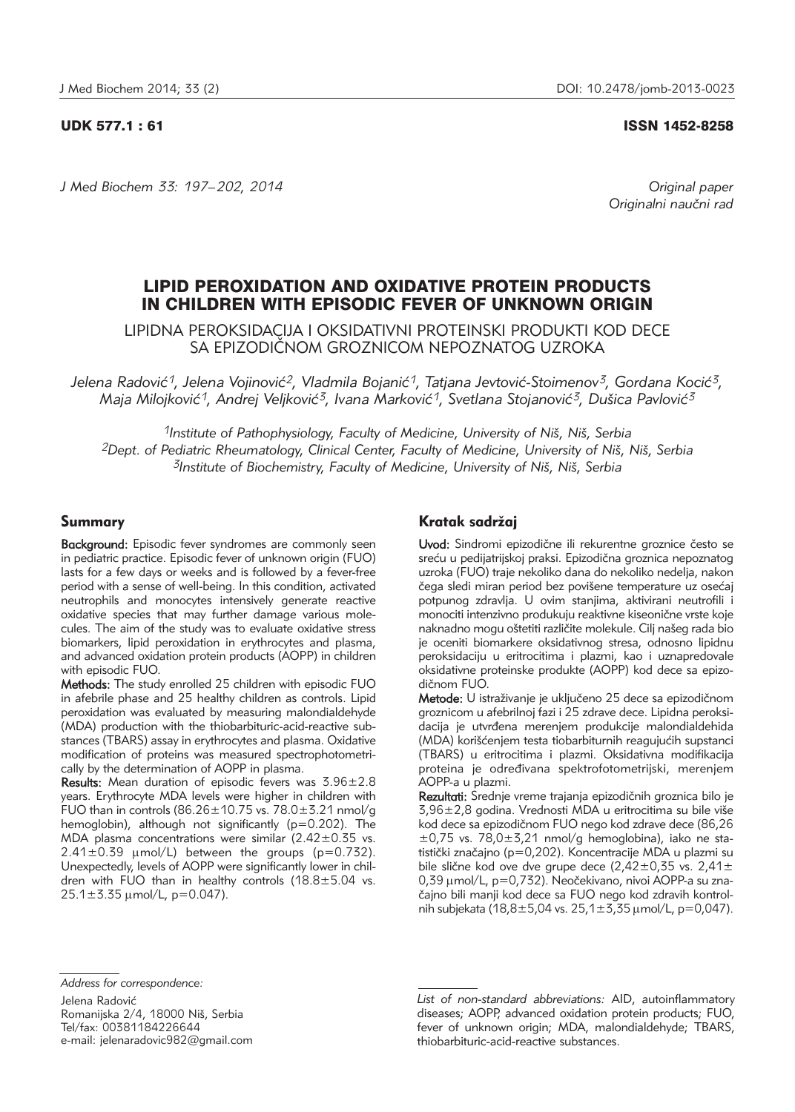#### UDK 577.1 : 61 ISSN 1452-8258

*J Med Biochem 33: 197–202, 2014 Original paper*

Originalni naučni rad

# LIPID PEROXIDATION AND OXIDATIVE PROTEIN PRODUCTS IN CHILDREN WITH EPISODIC FEVER OF UNKNOWN ORIGIN

LIPIDNA PEROKSIDACIJA I OKSIDATIVNI PROTEINSKI PRODUKTI KOD DECE SA EPIZODIČNOM GROZNICOM NEPOZNATOG UZROKA

Jelena Radović<sup>1</sup>, Jelena Vojinović<sup>2</sup>, Vladmila Bojanić<sup>1</sup>, Tatjana Jevtović-Stoimenov<sup>3</sup>, Gordana Kocić<sup>3</sup>, Maja Milojković<sup>1</sup>, Andrej Veljković<sup>3</sup>, Ivana Marković<sup>1</sup>, Svetlana Stojanović<sup>3</sup>, Dušica Pavlović<sup>3</sup>

<sup>1</sup>Institute of Pathophysiology, Faculty of Medicine, University of Niš, Niš, Serbia <sup>2</sup>Dept. of Pediatric Rheumatology, Clinical Center, Faculty of Medicine, University of Niš, Niš, Serbia <sup>3</sup>Institute of Biochemistry, Faculty of Medicine, University of Niš, Niš, Serbia

## Summary

Background: Episodic fever syndromes are commonly seen in pediatric practice. Episodic fever of unknown origin (FUO) lasts for a few days or weeks and is followed by a fever-free period with a sense of well-being. In this condition, activated neutrophils and monocytes intensively generate reactive oxidative species that may further damage various molecules. The aim of the study was to evaluate oxidative stress biomarkers, lipid peroxidation in erythrocytes and plasma, and advanced oxidation protein products (AOPP) in children with episodic FUO.

Methods: The study enrolled 25 children with episodic FUO in afebrile phase and 25 healthy children as controls. Lipid peroxidation was evaluated by measuring malondialdehyde (MDA) production with the thiobarbituric-acid-reactive substances (TBARS) assay in erythrocytes and plasma. Oxidative modification of proteins was measured spectrophotometrically by the determination of AOPP in plasma.

Results: Mean duration of episodic fevers was 3.96±2.8 years. Erythrocyte MDA levels were higher in children with FUO than in controls (86.26±10.75 vs. 78.0±3.21 nmol/g hemoglobin), although not significantly (p=0.202). The MDA plasma concentrations were similar (2.42±0.35 vs.  $2.41\pm0.39$  µmol/L) between the groups (p=0.732). Unexpectedly, levels of AOPP were significantly lower in children with FUO than in healthy controls (18.8±5.04 vs.  $25.1 \pm 3.35$   $\mu$ mol/L,  $p=0.047$ ).

# Kratak sadržaj

Uvod: Sindromi epizodične ili rekurentne groznice često se sreću u pedijatrijskoj praksi. Epizodična groznica nepoznatog uzroka (FUO) traje nekoliko dana do nekoliko nedelja, nakon čega sledi miran period bez povišene temperature uz osećaj potpunog zdravlja. U ovim stanjima, aktivirani neutrofili i monociti intenzivno produkuju reaktivne kiseonične vrste koje naknadno mogu oštetiti različite molekule. Cilj našeg rada bio je oceniti biomarkere oksidativnog stresa, odnosno lipidnu peroksidaciju u eritrocitima i plazmi, kao i uznapredovale oksidativne proteinske produkte (AOPP) kod dece sa epizodičnom FUO.

Metode: U istraživanje je uključeno 25 dece sa epizodičnom groznicom u afebrilnoj fazi i 25 zdrave dece. Lipidna peroksidacija je utvrđena merenjem produkcije malondialdehida (MDA) korišćenjem testa tiobarbiturnih reagujućih supstanci (TBARS) u eritrocitima i plazmi. Oksidativna modifikacija proteina je određivana spektrofotometrijski, merenjem AOPP-a u plazmi.

Rezultati: Srednje vreme trajanja epizodičnih groznica bilo je 3,96±2,8 godina. Vrednosti MDA u eritrocitima su bile vi{e kod dece sa epizodičnom FUO nego kod zdrave dece (86,26  $\pm$ 0,75 vs. 78,0 $\pm$ 3,21 nmol/g hemoglobina), iako ne statistički značajno (p=0,202). Koncentracije MDA u plazmi su bile slične kod ove dve grupe dece  $(2,42\pm0,35$  vs.  $2,41\pm$ 0,39 µmol/L, p=0,732). Neočekivano, nivoi AOPP-a su značajno bili manji kod dece sa FUO nego kod zdravih kontrolnih subjekata (18,8 $\pm$ 5,04 vs. 25,1 $\pm$ 3,35 µmol/L, p=0,047).

*Address for correspondence:*

Jelena Radović Romanijska 2/4, 18000 Niš, Serbia Tel/fax: 00381184226644 e-mail: jelenaradovic982@gmail.com

*List of non-standard abbreviations:* AID, autoinflammatory diseases; AOPP, advanced oxidation protein products; FUO, fever of unknown origin; MDA, malondialdehyde; TBARS, thiobarbituric-acid-reactive substances.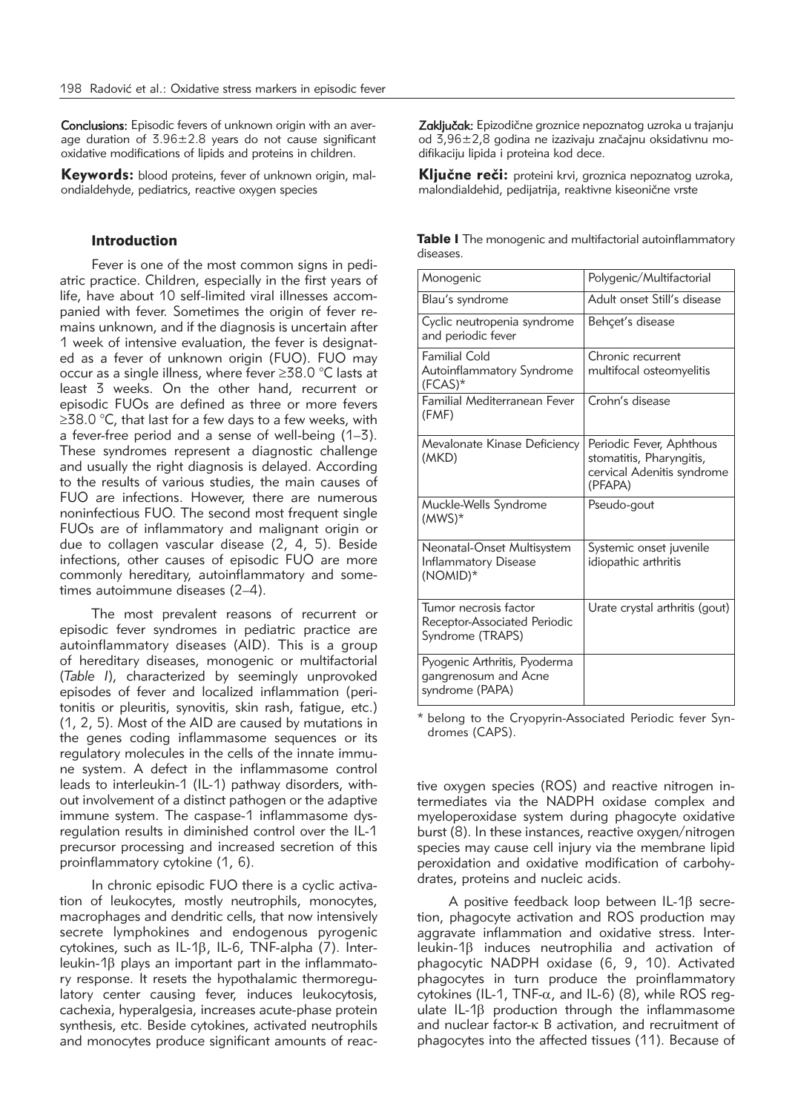Conclusions: Episodic fevers of unknown origin with an average duration of 3.96±2.8 years do not cause significant oxidative modifications of lipids and proteins in children.

Keywords: blood proteins, fever of unknown origin, malondialdehyde, pediatrics, reactive oxygen species

#### Introduction

Fever is one of the most common signs in pediatric practice. Children, especially in the first years of life, have about 10 self-limited viral illnesses accompanied with fever. Sometimes the origin of fever remains unknown, and if the diagnosis is uncertain after 1 week of intensive evaluation, the fever is designated as a fever of unknown origin (FUO). FUO may occur as a single illness, where fever ≥38.0 °C lasts at least 3 weeks. On the other hand, recurrent or episodic FUOs are defined as three or more fevers ≥38.0 °C, that last for a few days to a few weeks, with a fever-free period and a sense of well-being (1–3). These syndromes represent a diagnostic challenge and usually the right diagnosis is delayed. According to the results of various studies, the main causes of FUO are infections. However, there are numerous noninfectious FUO. The second most frequent single FUOs are of inflammatory and malignant origin or due to collagen vascular disease (2, 4, 5). Beside infections, other causes of episodic FUO are more commonly hereditary, autoinflammatory and sometimes autoimmune diseases (2–4).

The most prevalent reasons of recurrent or episodic fever syndromes in pediatric practice are autoinflammatory diseases (AID). This is a group of hereditary diseases, monogenic or multifactorial (*Table I*), characterized by seemingly unprovoked episodes of fever and localized inflammation (peritonitis or pleuritis, synovitis, skin rash, fatigue, etc.) (1, 2, 5). Most of the AID are caused by mutations in the genes coding inflammasome sequences or its regulatory molecules in the cells of the innate immune system. A defect in the inflammasome control leads to interleukin-1 (IL-1) pathway disorders, without involvement of a distinct pathogen or the adaptive immune system. The caspase-1 inflammasome dysregulation results in diminished control over the IL-1 precursor processing and increased secretion of this proinflammatory cytokine (1, 6).

In chronic episodic FUO there is a cyclic activation of leukocytes, mostly neutrophils, monocytes, macrophages and dendritic cells, that now intensively secrete lymphokines and endogenous pyrogenic cytokines, such as IL-1 $\beta$ , IL-6, TNF-alpha (7). Interleukin-1 $\beta$  plays an important part in the inflammatory response. It resets the hypothalamic thermoregulatory center causing fever, induces leukocytosis, cachexia, hyperalgesia, increases acute-phase protein synthesis, etc. Beside cytokines, activated neutrophils and monocytes produce significant amounts of reacZaključak: Epizodične groznice nepoznatog uzroka u trajanju od  $\frac{3}{96} \pm 2.8$  godina ne izazivaju značajnu oksidativnu modifikaciju lipida i proteina kod dece.

Ključne reči: proteini krvi, groznica nepoznatog uzroka, malondialdehid, pedijatrija, reaktivne kiseonične vrste

| Monogenic                                                                 | Polygenic/Multifactorial                                                                      |
|---------------------------------------------------------------------------|-----------------------------------------------------------------------------------------------|
| Blau's syndrome                                                           | Adult onset Still's disease                                                                   |
| Cyclic neutropenia syndrome<br>and periodic fever                         | Behcet's disease                                                                              |
| Familial Cold<br>Autoinflammatory Syndrome<br>$(FCAS)*$                   | Chronic recurrent<br>multifocal osteomyelitis                                                 |
| Familial Mediterranean Fever<br>(FMF)                                     | Crohn's disease                                                                               |
| Mevalonate Kinase Deficiency<br>(MKD)                                     | Periodic Fever, Aphthous<br>stomatitis, Pharyngitis,<br>cervical Adenitis syndrome<br>(PFAPA) |
| Muckle-Wells Syndrome<br>$(MWS)*$                                         | Pseudo-gout                                                                                   |
| Neonatal-Onset Multisystem<br>Inflammatory Disease<br>(NOMID)*            | Systemic onset juvenile<br>idiopathic arthritis                                               |
| Tumor necrosis factor<br>Receptor-Associated Periodic<br>Syndrome (TRAPS) | Urate crystal arthritis (gout)                                                                |
| Pyogenic Arthritis, Pyoderma<br>gangrenosum and Acne<br>syndrome (PAPA)   |                                                                                               |

Table I The monogenic and multifactorial autoinflammatory diseases.

belong to the Cryopyrin-Associated Periodic fever Syndromes (CAPS).

tive oxygen species (ROS) and reactive nitrogen intermediates via the NADPH oxidase complex and myeloperoxidase system during phagocyte oxidative burst (8). In these instances, reactive oxygen/nitrogen species may cause cell injury via the membrane lipid peroxidation and oxidative modification of carbohydrates, proteins and nucleic acids.

A positive feedback loop between IL-1 $\beta$  secretion, phagocyte activation and ROS production may aggravate inflammation and oxidative stress. Interleukin-1b induces neutrophilia and activation of phagocytic NADPH oxidase (6, 9, 10). Activated phagocytes in turn produce the proinflammatory cytokines (IL-1, TNF- $\alpha$ , and IL-6) (8), while ROS regulate IL-1 $\beta$  production through the inflammasome and nuclear factor-k B activation, and recruitment of phagocytes into the affected tissues (11). Because of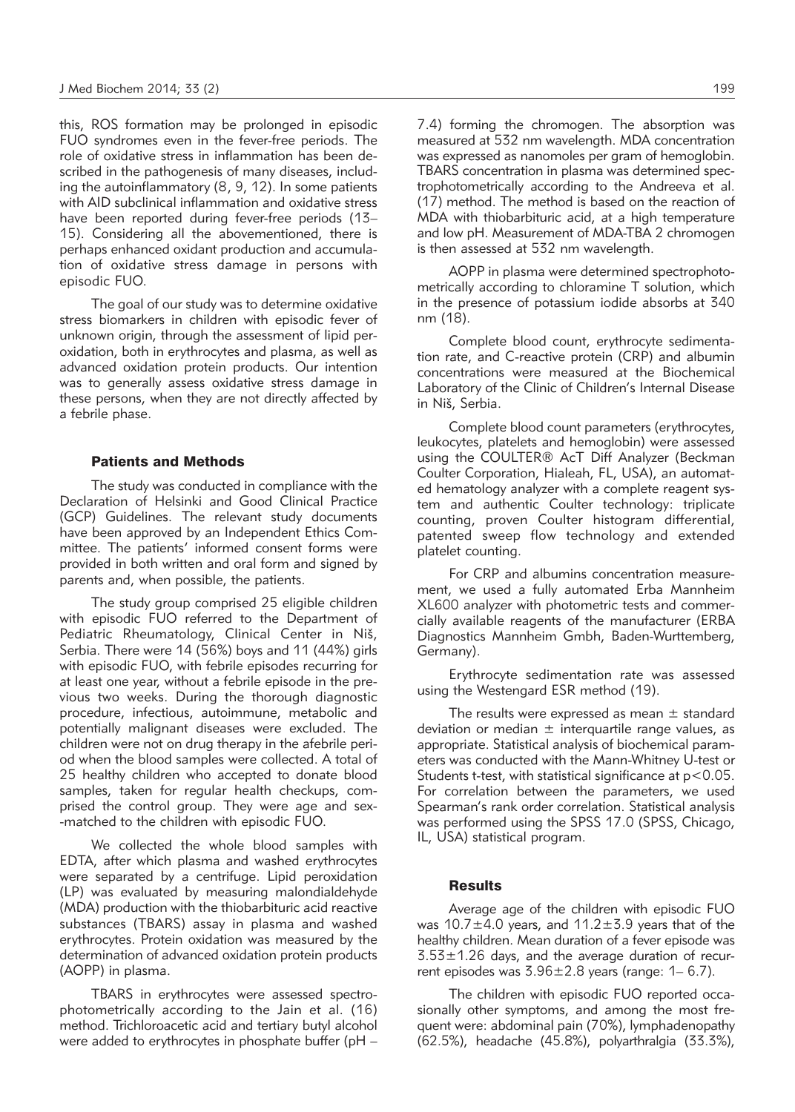this, ROS formation may be prolonged in episodic FUO syndromes even in the fever-free periods. The role of oxidative stress in inflammation has been described in the pathogenesis of many diseases, including the autoinflammatory (8, 9, 12). In some patients with AID subclinical inflammation and oxidative stress have been reported during fever-free periods (13– 15). Considering all the abovementioned, there is perhaps enhanced oxidant production and accumulation of oxidative stress damage in persons with episodic FUO.

The goal of our study was to determine oxidative stress biomarkers in children with episodic fever of unknown origin, through the assessment of lipid peroxidation, both in erythrocytes and plasma, as well as advanced oxidation protein products. Our intention was to generally assess oxidative stress damage in these persons, when they are not directly affected by a febrile phase.

#### Patients and Methods

The study was conducted in compliance with the Declaration of Helsinki and Good Clinical Practice (GCP) Guidelines. The relevant study documents have been approved by an Independent Ethics Committee. The patients' informed consent forms were provided in both written and oral form and signed by parents and, when possible, the patients.

The study group comprised 25 eligible children with episodic FUO referred to the Department of Pediatric Rheumatology, Clinical Center in Niš, Serbia. There were 14 (56%) boys and 11 (44%) girls with episodic FUO, with febrile episodes recurring for at least one year, without a febrile episode in the previous two weeks. During the thorough diagnostic procedure, infectious, autoimmune, metabolic and potentially malignant diseases were excluded. The children were not on drug therapy in the afebrile period when the blood samples were collected. A total of 25 healthy children who accepted to donate blood samples, taken for regular health checkups, comprised the control group. They were age and sex- -matched to the children with episodic FUO.

We collected the whole blood samples with EDTA, after which plasma and washed erythrocytes were separated by a centrifuge. Lipid peroxidation (LP) was evaluated by measuring malondialdehyde (MDA) production with the thiobarbituric acid reactive substances (TBARS) assay in plasma and washed erythrocytes. Protein oxidation was measured by the determination of advanced oxidation protein products (AOPP) in plasma.

TBARS in erythrocytes were assessed spectrophotometrically according to the Jain et al. (16) method. Trichloroacetic acid and tertiary butyl alcohol were added to erythrocytes in phosphate buffer (pH – 7.4) forming the chromogen. The absorption was measured at 532 nm wavelength. MDA concentration was expressed as nanomoles per gram of hemoglobin. TBARS concentration in plasma was determined spectrophotometrically according to the Andreeva et al. (17) method. The method is based on the reaction of MDA with thiobarbituric acid, at a high temperature and low pH. Measurement of MDA-TBA 2 chromogen is then assessed at 532 nm wavelength.

AOPP in plasma were determined spectrophotometrically according to chloramine T solution, which in the presence of potassium iodide absorbs at 340 nm (18).

Complete blood count, erythrocyte sedimentation rate, and C-reactive protein (CRP) and albumin concentrations were measured at the Biochemical Laboratory of the Clinic of Children's Internal Disease in Niš, Serbia.

Complete blood count parameters (erythrocytes, leukocytes, platelets and hemoglobin) were assessed using the COULTER® AcT Diff Analyzer (Beckman Coulter Corporation, Hialeah, FL, USA), an automated hematology analyzer with a complete reagent system and authentic Coulter technology: triplicate counting, proven Coulter histogram differential, patented sweep flow technology and extended platelet counting.

For CRP and albumins concentration measurement, we used a fully automated Erba Mannheim XL600 analyzer with photometric tests and commercially available reagents of the manufacturer (ERBA Diagnostics Mannheim Gmbh, Baden-Wurttemberg, Germany).

Erythrocyte sedimentation rate was assessed using the Westengard ESR method (19).

The results were expressed as mean  $\pm$  standard deviation or median  $\pm$  interguartile range values, as appropriate. Statistical analysis of biochemical parameters was conducted with the Mann-Whitney U-test or Students t-test, with statistical significance at  $p < 0.05$ . For correlation between the parameters, we used Spearman's rank order correlation. Statistical analysis was performed using the SPSS 17.0 (SPSS, Chicago, IL, USA) statistical program.

#### **Results**

Average age of the children with episodic FUO was  $10.7\pm4.0$  years, and  $11.2\pm3.9$  years that of the healthy children. Mean duration of a fever episode was  $3.53\pm1.26$  days, and the average duration of recurrent episodes was  $3.96 \pm 2.8$  years (range:  $1-6.7$ ).

The children with episodic FUO reported occasionally other symptoms, and among the most frequent were: abdominal pain (70%), lymphadenopathy (62.5%), headache (45.8%), polyarthralgia (33.3%),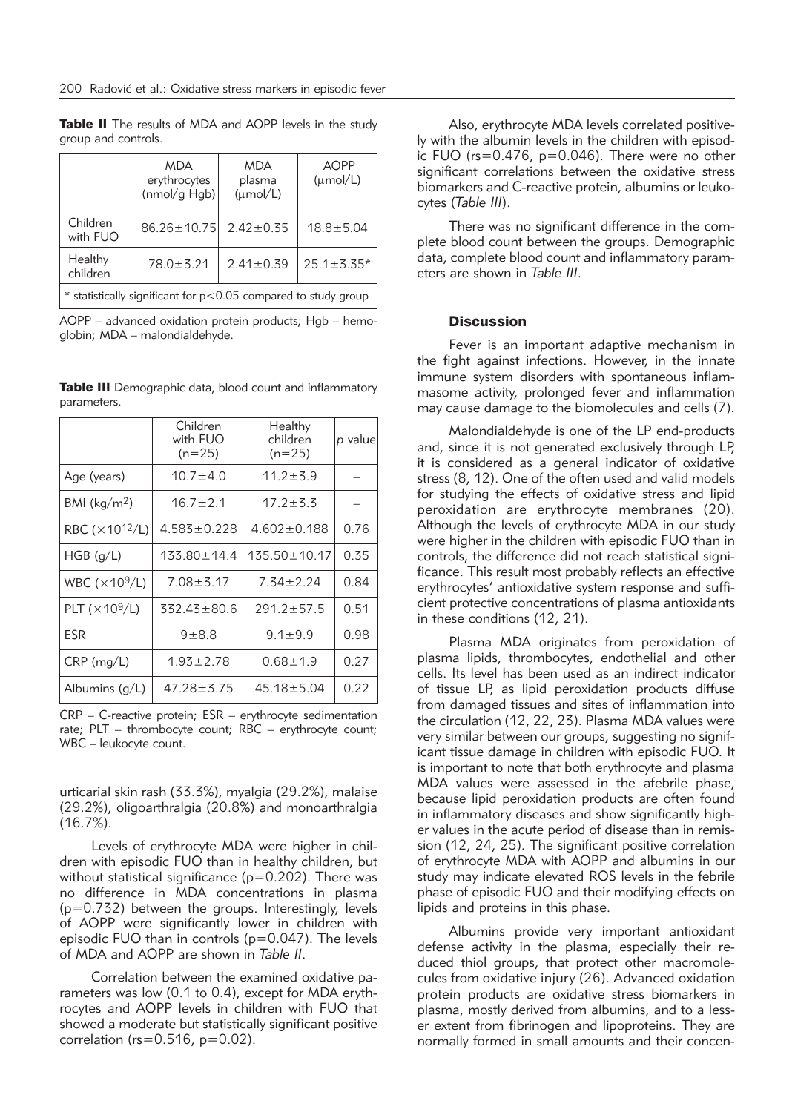Table II The results of MDA and AOPP levels in the study group and controls.

|                                                                | <b>MDA</b><br>erythrocytes<br>(nmol/g Hgb) | <b>MDA</b><br>plasma<br>$(\mu \text{mol/L})$ | <b>AOPP</b><br>$(\mu \text{mol/L})$ |  |
|----------------------------------------------------------------|--------------------------------------------|----------------------------------------------|-------------------------------------|--|
| Children<br>with FUO                                           | $86.26 \pm 10.75$                          | $2.42 \pm 0.35$                              | $18.8 + 5.04$                       |  |
| Healthy<br>children                                            | $78.0 \pm 5.21$                            | $2.41 \pm 0.39$                              | $25.1 \pm 5.35*$                    |  |
| * statistically significant for p<0.05 compared to study group |                                            |                                              |                                     |  |

AOPP – advanced oxidation protein products; Hgb – hemoglobin; MDA – malondialdehyde.

|             | Table III Demographic data, blood count and inflammatory |  |  |  |
|-------------|----------------------------------------------------------|--|--|--|
| parameters. |                                                          |  |  |  |

|                         | Children<br>with FUO<br>$(n=25)$ | Healthy<br>children<br>$(n=25)$ | p value |
|-------------------------|----------------------------------|---------------------------------|---------|
| Age (years)             | $10.7 \pm 4.0$                   | $11.2 \pm 5.9$                  |         |
| BMI ( $\text{kg/m}^2$ ) | $16.7 + 2.1$                     | $17.2 \pm 5.3$                  |         |
| RBC $(x10^{12}/L)$      | $4.583 \pm 0.228$                | $4.602 \pm 0.188$               | 0.76    |
| HGB (g/L)               | $133.80 \pm 14.4$                | 135.50±10.17                    | 0.35    |
| WBC $(x109/L)$          | $7.08 \pm 3.17$                  | $7.34 \pm 2.24$                 | 0.84    |
| PLT $(x10^9/L)$         | $332.43 \pm 80.6$                | $291.2 \pm 57.5$                | 0.51    |
| ESR                     | $9 + 8.8$                        | $9.1 \pm 9.9$                   | 0.98    |
| $CRP$ (mg/L)            | $1.93 \pm 2.78$                  | $0.68 + 1.9$                    | 0.27    |
| Albumins $(q/L)$        | $47.28 \pm 3.75$                 | $45.18 \pm 5.04$                | 0.22    |

CRP – C-reactive protein; ESR – erythrocyte sedimentation rate; PLT – thrombocyte count; RBC – erythrocyte count; WBC – leukocyte count.

urticarial skin rash (33.3%), myalgia (29.2%), malaise (29.2%), oligoarthralgia (20.8%) and monoarthralgia (16.7%).

Levels of erythrocyte MDA were higher in children with episodic FUO than in healthy children, but without statistical significance ( $p=0.202$ ). There was no difference in MDA concentrations in plasma (p=0.732) between the groups. Interestingly, levels of AOPP were significantly lower in children with episodic FUO than in controls (p=0.047). The levels of MDA and AOPP are shown in *Table II*.

Correlation between the examined oxidative parameters was low (0.1 to 0.4), except for MDA erythrocytes and AOPP levels in children with FUO that showed a moderate but statistically significant positive correlation ( $rs=0.516$ ,  $p=0.02$ ).

Also, erythrocyte MDA levels correlated positively with the albumin levels in the children with episodic FUO (rs=0.476, p=0.046). There were no other significant correlations between the oxidative stress biomarkers and C-reactive protein, albumins or leukocytes (*Table III*).

There was no significant difference in the complete blood count between the groups. Demographic data, complete blood count and inflammatory parameters are shown in *Table III*.

### **Discussion**

Fever is an important adaptive mechanism in the fight against infections. However, in the innate immune system disorders with spontaneous inflammasome activity, prolonged fever and inflammation may cause damage to the biomolecules and cells (7).

Malondialdehyde is one of the LP end-products and, since it is not generated exclusively through LP, it is considered as a general indicator of oxidative stress (8, 12). One of the often used and valid models for studying the effects of oxidative stress and lipid peroxidation are erythrocyte membranes (20). Although the levels of erythrocyte MDA in our study were higher in the children with episodic FUO than in controls, the difference did not reach statistical significance. This result most probably reflects an effective erythrocytes' antioxidative system response and sufficient protective concentrations of plasma antioxidants in these conditions (12, 21).

Plasma MDA originates from peroxidation of plasma lipids, thrombocytes, endothelial and other cells. Its level has been used as an indirect indicator of tissue LP, as lipid peroxidation products diffuse from damaged tissues and sites of inflammation into the circulation (12, 22, 23). Plasma MDA values were very similar between our groups, suggesting no significant tissue damage in children with episodic FUO. It is important to note that both erythrocyte and plasma MDA values were assessed in the afebrile phase, because lipid peroxidation products are often found in inflammatory diseases and show significantly higher values in the acute period of disease than in remission (12, 24, 25). The significant positive correlation of erythrocyte MDA with AOPP and albumins in our study may indicate elevated ROS levels in the febrile phase of episodic FUO and their modifying effects on lipids and proteins in this phase.

Albumins provide very important antioxidant defense activity in the plasma, especially their reduced thiol groups, that protect other macromolecules from oxidative injury (26). Advanced oxidation protein products are oxidative stress biomarkers in plasma, mostly derived from albumins, and to a lesser extent from fibrinogen and lipoproteins. They are normally formed in small amounts and their concen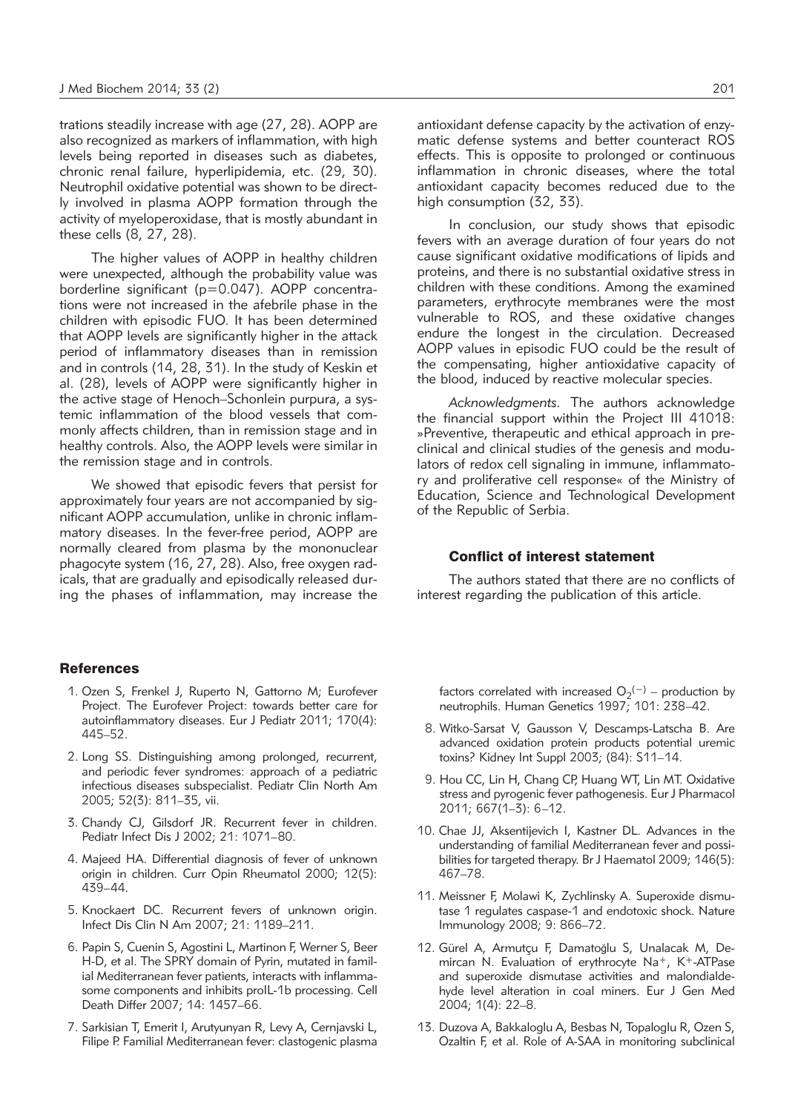trations steadily increase with age (27, 28). AOPP are also recognized as markers of inflammation, with high levels being reported in diseases such as diabetes, chronic renal failure, hyperlipidemia, etc. (29, 30). Neutrophil oxidative potential was shown to be directly involved in plasma AOPP formation through the activity of myeloperoxidase, that is mostly abundant in these cells (8, 27, 28).

The higher values of AOPP in healthy children were unexpected, although the probability value was borderline significant (p=0.047). AOPP concentrations were not increased in the afebrile phase in the children with episodic FUO. It has been determined that AOPP levels are significantly higher in the attack period of inflammatory diseases than in remission and in controls (14, 28, 31). In the study of Keskin et al. (28), levels of AOPP were significantly higher in the active stage of Henoch–Schonlein purpura, a systemic inflammation of the blood vessels that commonly affects children, than in remission stage and in healthy controls. Also, the AOPP levels were similar in the remission stage and in controls.

We showed that episodic fevers that persist for approximately four years are not accompanied by significant AOPP accumulation, unlike in chronic inflammatory diseases. In the fever-free period, AOPP are normally cleared from plasma by the mononuclear phagocyte system (16, 27, 28). Also, free oxygen radicals, that are gradually and episodically released during the phases of inflammation, may increase the

# **References**

- 1. Ozen S, Frenkel J, Ruperto N, Gattorno M; Eurofever Project. The Eurofever Project: towards better care for autoinflammatory diseases. Eur J Pediatr 2011; 170(4): 445–52.
- 2. Long SS. Distinguishing among prolonged, recurrent, and periodic fever syndromes: approach of a pediatric infectious diseases subspecialist. Pediatr Clin North Am 2005; 52(3): 811–35, vii.
- 3. Chandy CJ, Gilsdorf JR. Recurrent fever in children. Pediatr Infect Dis J 2002; 21: 1071–80.
- 4. Majeed HA. Differential diagnosis of fever of unknown origin in children. Curr Opin Rheumatol 2000; 12(5): 439–44.
- 5. Knockaert DC. Recurrent fevers of unknown origin. Infect Dis Clin N Am 2007; 21: 1189–211.
- 6. Papin S, Cuenin S, Agostini L, Martinon F, Werner S, Beer H-D, et al. The SPRY domain of Pyrin, mutated in familial Mediterranean fever patients, interacts with inflammasome components and inhibits proIL-1b processing. Cell Death Differ 2007; 14: 1457–66.
- 7. Sarkisian T, Emerit I, Arutyunyan R, Levy A, Cernjavski L, Filipe P. Familial Mediterranean fever: clastogenic plasma

antioxidant defense capacity by the activation of enzymatic defense systems and better counteract ROS effects. This is opposite to prolonged or continuous inflammation in chronic diseases, where the total antioxidant capacity becomes reduced due to the high consumption (32, 33).

In conclusion, our study shows that episodic fevers with an average duration of four years do not cause significant oxidative modifications of lipids and proteins, and there is no substantial oxidative stress in children with these conditions. Among the examined parameters, erythrocyte membranes were the most vulnerable to ROS, and these oxidative changes endure the longest in the circulation. Decreased AOPP values in episodic FUO could be the result of the compensating, higher antioxidative capacity of the blood, induced by reactive molecular species.

*Acknowledgments.* The authors acknowledge the financial support within the Project III 41018: »Preventive, therapeutic and ethical approach in preclinical and clinical studies of the genesis and modulators of redox cell signaling in immune, inflammatory and proliferative cell response« of the Ministry of Education, Science and Technological Development of the Republic of Serbia.

#### Conflict of interest statement

The authors stated that there are no conflicts of interest regarding the publication of this article.

factors correlated with increased  $O_2^{(-)}$  – production by neutrophils. Human Genetics 1997; 101: 238–42.

- 8. Witko-Sarsat V, Gausson V, Descamps-Latscha B. Are advanced oxidation protein products potential uremic toxins? Kidney Int Suppl 2003; (84): S11–14.
- 9. Hou CC, Lin H, Chang CP, Huang WT, Lin MT. Oxidative stress and pyrogenic fever pathogenesis. Eur J Pharmacol 2011; 667(1–3): 6–12.
- 10. Chae JJ, Aksentijevich I, Kastner DL. Advances in the understanding of familial Mediterranean fever and possibilities for targeted therapy. Br J Haematol 2009; 146(5): 467–78.
- 11. Meissner F, Molawi K, Zychlinsky A. Superoxide dismutase 1 regulates caspase-1 and endotoxic shock. Nature Immunology 2008; 9: 866–72.
- 12. Gürel A, Armutçu F, Damatoğlu S, Unalacak M, Demircan N. Evaluation of erythrocyte Na<sup>+</sup>, K<sup>+</sup>-ATPase and superoxide dismutase activities and malondialdehyde level alteration in coal miners. Eur J Gen Med 2004; 1(4): 22–8.
- 13. Duzova A, Bakkaloglu A, Besbas N, Topaloglu R, Ozen S, Ozaltin F, et al. Role of A-SAA in monitoring subclinical